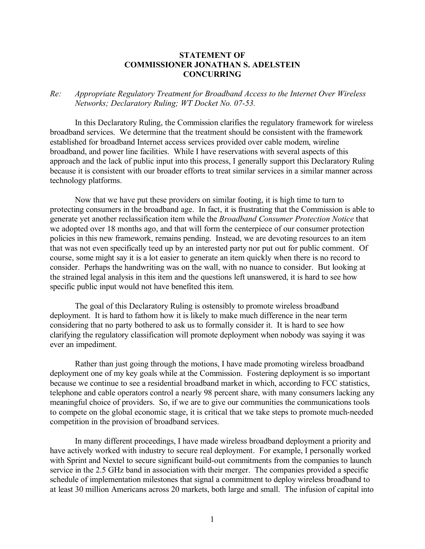## **STATEMENT OF COMMISSIONER JONATHAN S. ADELSTEIN CONCURRING**

## *Re: Appropriate Regulatory Treatment for Broadband Access to the Internet Over Wireless Networks; Declaratory Ruling; WT Docket No. 07-53.*

In this Declaratory Ruling, the Commission clarifies the regulatory framework for wireless broadband services. We determine that the treatment should be consistent with the framework established for broadband Internet access services provided over cable modem, wireline broadband, and power line facilities. While I have reservations with several aspects of this approach and the lack of public input into this process, I generally support this Declaratory Ruling because it is consistent with our broader efforts to treat similar services in a similar manner across technology platforms.

Now that we have put these providers on similar footing, it is high time to turn to protecting consumers in the broadband age. In fact, it is frustrating that the Commission is able to generate yet another reclassification item while the *Broadband Consumer Protection Notice* that we adopted over 18 months ago, and that will form the centerpiece of our consumer protection policies in this new framework, remains pending. Instead, we are devoting resources to an item that was not even specifically teed up by an interested party nor put out for public comment. Of course, some might say it is a lot easier to generate an item quickly when there is no record to consider. Perhaps the handwriting was on the wall, with no nuance to consider. But looking at the strained legal analysis in this item and the questions left unanswered, it is hard to see how specific public input would not have benefited this item.

The goal of this Declaratory Ruling is ostensibly to promote wireless broadband deployment. It is hard to fathom how it is likely to make much difference in the near term considering that no party bothered to ask us to formally consider it. It is hard to see how clarifying the regulatory classification will promote deployment when nobody was saying it was ever an impediment.

Rather than just going through the motions, I have made promoting wireless broadband deployment one of my key goals while at the Commission. Fostering deployment is so important because we continue to see a residential broadband market in which, according to FCC statistics, telephone and cable operators control a nearly 98 percent share, with many consumers lacking any meaningful choice of providers. So, if we are to give our communities the communications tools to compete on the global economic stage, it is critical that we take steps to promote much-needed competition in the provision of broadband services.

In many different proceedings, I have made wireless broadband deployment a priority and have actively worked with industry to secure real deployment. For example, I personally worked with Sprint and Nextel to secure significant build-out commitments from the companies to launch service in the 2.5 GHz band in association with their merger. The companies provided a specific schedule of implementation milestones that signal a commitment to deploy wireless broadband to at least 30 million Americans across 20 markets, both large and small. The infusion of capital into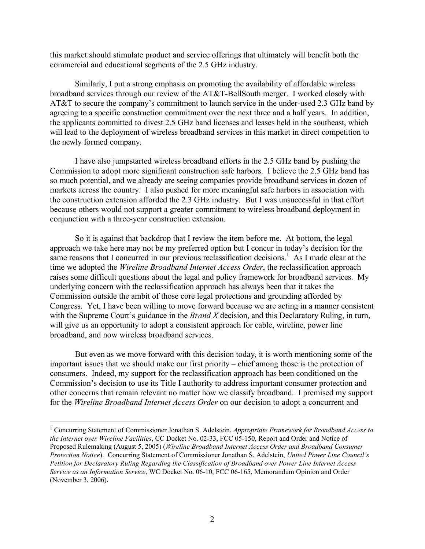this market should stimulate product and service offerings that ultimately will benefit both the commercial and educational segments of the 2.5 GHz industry.

Similarly, I put a strong emphasis on promoting the availability of affordable wireless broadband services through our review of the AT&T-BellSouth merger. I worked closely with AT&T to secure the company's commitment to launch service in the under-used 2.3 GHz band by agreeing to a specific construction commitment over the next three and a half years. In addition, the applicants committed to divest 2.5 GHz band licenses and leases held in the southeast, which will lead to the deployment of wireless broadband services in this market in direct competition to the newly formed company.

I have also jumpstarted wireless broadband efforts in the 2.5 GHz band by pushing the Commission to adopt more significant construction safe harbors. I believe the 2.5 GHz band has so much potential, and we already are seeing companies provide broadband services in dozen of markets across the country. I also pushed for more meaningful safe harbors in association with the construction extension afforded the 2.3 GHz industry. But I was unsuccessful in that effort because others would not support a greater commitment to wireless broadband deployment in conjunction with a three-year construction extension.

So it is against that backdrop that I review the item before me. At bottom, the legal approach we take here may not be my preferred option but I concur in today's decision for the same reasons that I concurred in our previous reclassification decisions.<sup>1</sup> As I made clear at the time we adopted the *Wireline Broadband Internet Access Order*, the reclassification approach raises some difficult questions about the legal and policy framework for broadband services. My underlying concern with the reclassification approach has always been that it takes the Commission outside the ambit of those core legal protections and grounding afforded by Congress. Yet, I have been willing to move forward because we are acting in a manner consistent with the Supreme Court's guidance in the *Brand X* decision, and this Declaratory Ruling, in turn, will give us an opportunity to adopt a consistent approach for cable, wireline, power line broadband, and now wireless broadband services.

But even as we move forward with this decision today, it is worth mentioning some of the important issues that we should make our first priority – chief among those is the protection of consumers. Indeed, my support for the reclassification approach has been conditioned on the Commission's decision to use its Title I authority to address important consumer protection and other concerns that remain relevant no matter how we classify broadband. I premised my support for the *Wireline Broadband Internet Access Order* on our decision to adopt a concurrent and

<sup>1</sup> Concurring Statement of Commissioner Jonathan S. Adelstein, *Appropriate Framework for Broadband Access to the Internet over Wireline Facilities*, CC Docket No. 02-33, FCC 05-150, Report and Order and Notice of Proposed Rulemaking (August 5, 2005) (*Wireline Broadband Internet Access Order and Broadband Consumer Protection Notice*). Concurring Statement of Commissioner Jonathan S. Adelstein, *United Power Line Council's Petition for Declaratory Ruling Regarding the Classification of Broadband over Power Line Internet Access Service as an Information Service*, WC Docket No. 06-10, FCC 06-165, Memorandum Opinion and Order (November 3, 2006).